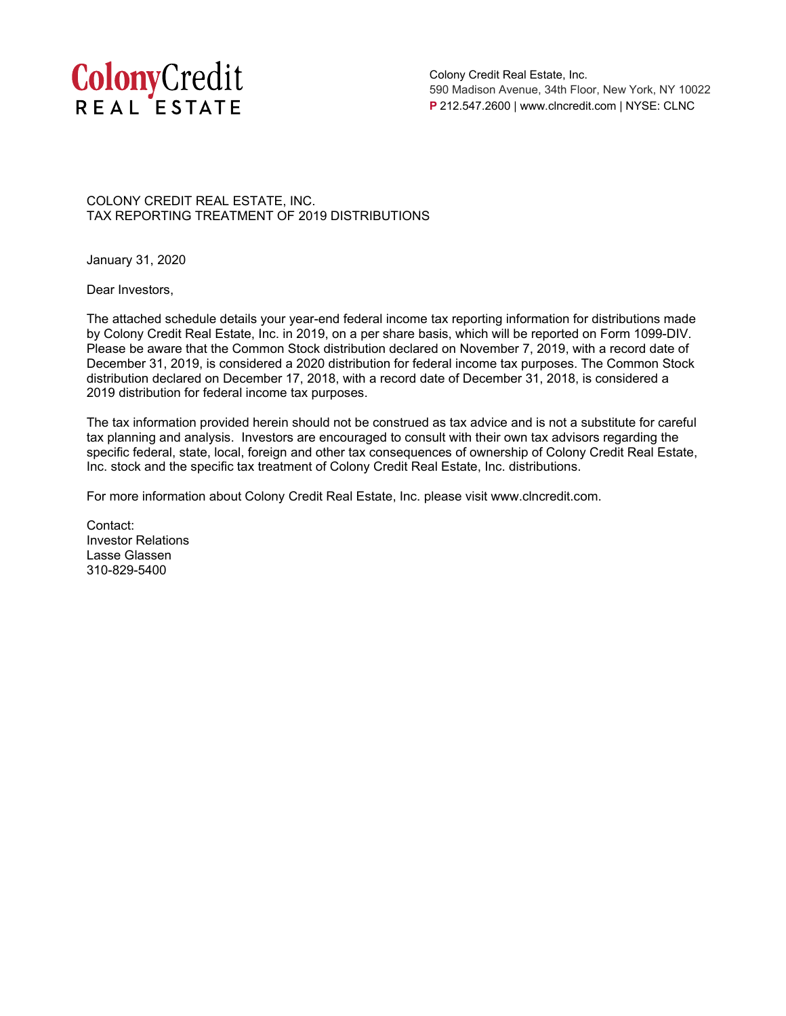

Colony Credit Real Estate, Inc. 590 Madison Avenue, 34th Floor, New York, NY 10022 **P** 212.547.2600 | www.clncredit.com | NYSE: CLNC

COLONY CREDIT REAL ESTATE, INC. TAX REPORTING TREATMENT OF 2019 DISTRIBUTIONS

January 31, 2020

Dear Investors,

The attached schedule details your year-end federal income tax reporting information for distributions made by Colony Credit Real Estate, Inc. in 2019, on a per share basis, which will be reported on Form 1099-DIV. Please be aware that the Common Stock distribution declared on November 7, 2019, with a record date of December 31, 2019, is considered a 2020 distribution for federal income tax purposes. The Common Stock distribution declared on December 17, 2018, with a record date of December 31, 2018, is considered a 2019 distribution for federal income tax purposes.

The tax information provided herein should not be construed as tax advice and is not a substitute for careful tax planning and analysis. Investors are encouraged to consult with their own tax advisors regarding the specific federal, state, local, foreign and other tax consequences of ownership of Colony Credit Real Estate, Inc. stock and the specific tax treatment of Colony Credit Real Estate, Inc. distributions.

For more information about Colony Credit Real Estate, Inc. please visit www.clncredit.com.

Contact: Investor Relations Lasse Glassen 310-829-5400